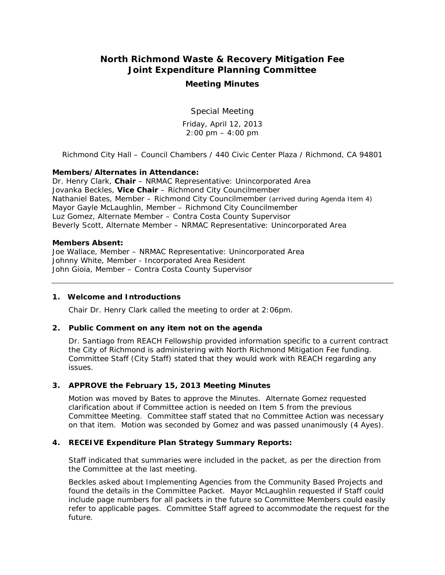# **North Richmond Waste & Recovery Mitigation Fee Joint Expenditure Planning Committee**

# **Meeting Minutes**

Special Meeting

Friday, April 12, 2013  $2:00 \text{ pm} - 4:00 \text{ pm}$ 

*Richmond City Hall – Council Chambers / 440 Civic Center Plaza / Richmond, CA 94801* 

## **Members/Alternates in Attendance:**

Dr. Henry Clark, **Chair** – NRMAC Representative: Unincorporated Area Jovanka Beckles, **Vice Chair** – Richmond City Councilmember Nathaniel Bates, Member – Richmond City Councilmember *(arrived during Agenda Item 4)*  Mayor Gayle McLaughlin, Member – Richmond City Councilmember Luz Gomez, Alternate Member – Contra Costa County Supervisor Beverly Scott, Alternate Member – NRMAC Representative: Unincorporated Area

#### **Members Absent:**

Joe Wallace, Member – NRMAC Representative: Unincorporated Area Johnny White, Member - Incorporated Area Resident John Gioia, Member – Contra Costa County Supervisor

#### **1. Welcome and Introductions**

Chair Dr. Henry Clark called the meeting to order at 2:06pm.

#### **2. Public Comment on any item not on the agenda**

Dr. Santiago from REACH Fellowship provided information specific to a current contract the City of Richmond is administering with North Richmond Mitigation Fee funding. Committee Staff (City Staff) stated that they would work with REACH regarding any issues.

#### **3. APPROVE the February 15, 2013 Meeting Minutes**

*Motion was moved* by Bates to approve the Minutes. Alternate Gomez requested clarification about if Committee action is needed on Item 5 from the previous Committee Meeting. Committee staff stated that no Committee Action was necessary on that item. *Motion was seconded* by Gomez and *was passed unanimously (4 Ayes).* 

## **4. RECEIVE Expenditure Plan Strategy Summary Reports:**

Staff indicated that summaries were included in the packet, as per the direction from the Committee at the last meeting.

Beckles asked about Implementing Agencies from the Community Based Projects and found the details in the Committee Packet. Mayor McLaughlin requested if Staff could include page numbers for all packets in the future so Committee Members could easily refer to applicable pages. Committee Staff agreed to accommodate the request for the future.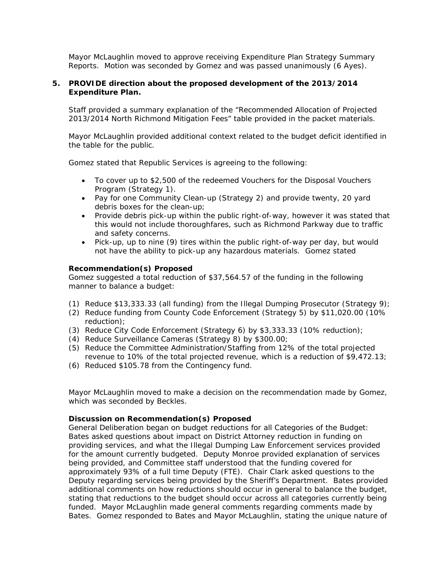Mayor McLaughlin *moved to approve* receiving Expenditure Plan Strategy Summary Reports. *Motion was seconded* by Gomez and was passed *unanimously (6 Ayes)*.

## **5. PROVIDE direction about the proposed development of the 2013/2014 Expenditure Plan.**

Staff provided a summary explanation of the "Recommended Allocation of Projected 2013/2014 North Richmond Mitigation Fees" table provided in the packet materials.

 Mayor McLaughlin provided additional context related to the budget deficit identified in the table for the public.

Gomez stated that Republic Services is agreeing to the following:

- To cover up to \$2,500 of the redeemed Vouchers for the Disposal Vouchers Program (Strategy 1).
- Pay for one Community Clean-up (Strategy 2) and provide twenty, 20 yard debris boxes for the clean-up;
- Provide debris pick-up within the public right-of-way, however it was stated that this would not include thoroughfares, such as Richmond Parkway due to traffic and safety concerns.
- Pick-up, up to nine (9) tires within the public right-of-way per day, but would not have the ability to pick-up any hazardous materials. Gomez stated

## *Recommendation(s) Proposed*

Gomez suggested a total reduction of \$37,564.57 of the funding in the following manner to balance a budget:

- (1) Reduce \$13,333.33 (all funding) from the Illegal Dumping Prosecutor (Strategy 9);
- (2) Reduce funding from County Code Enforcement (Strategy 5) by \$11,020.00 (10% reduction);
- (3) Reduce City Code Enforcement (Strategy 6) by \$3,333.33 (10% reduction);
- (4) Reduce Surveillance Cameras (Strategy 8) by \$300.00;
- (5) Reduce the Committee Administration/Staffing from 12% of the total projected revenue to 10% of the total projected revenue, which is a reduction of \$9,472.13;
- (6) Reduced \$105.78 from the Contingency fund.

*Mayor McLaughlin moved to make a decision on the recommendation made by Gomez, which was seconded by Beckles.* 

#### *Discussion on Recommendation(s) Proposed*

*General Deliberation began on budget reductions for all Categories of the Budget:*  Bates asked questions about impact on District Attorney reduction in funding on providing services, and what the Illegal Dumping Law Enforcement services provided for the amount currently budgeted. Deputy Monroe provided explanation of services being provided, and Committee staff understood that the funding covered for approximately 93% of a full time Deputy (FTE). Chair Clark asked questions to the Deputy regarding services being provided by the Sheriff's Department. Bates provided additional comments on how reductions should occur in general to balance the budget, stating that reductions to the budget should occur across all categories currently being funded. Mayor McLaughlin made general comments regarding comments made by Bates. Gomez responded to Bates and Mayor McLaughlin, stating the unique nature of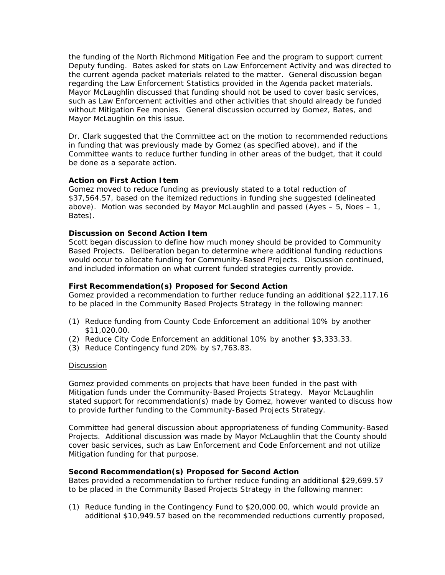the funding of the North Richmond Mitigation Fee and the program to support current Deputy funding. Bates asked for stats on Law Enforcement Activity and was directed to the current agenda packet materials related to the matter. General discussion began regarding the Law Enforcement Statistics provided in the Agenda packet materials. Mayor McLaughlin discussed that funding should not be used to cover basic services, such as Law Enforcement activities and other activities that should already be funded without Mitigation Fee monies. General discussion occurred by Gomez, Bates, and Mayor McLaughlin on this issue.

Dr. Clark suggested that the Committee act on the motion to recommended reductions in funding that was previously made by Gomez (as specified above), and if the Committee wants to reduce further funding in other areas of the budget, that it could be done as a separate action.

## *Action on First Action Item*

*Gomez moved to reduce funding as previously stated to a total reduction of \$37,564.57, based on the itemized reductions in funding she suggested (delineated above). Motion was seconded by Mayor McLaughlin and passed (Ayes – 5, Noes – 1, Bates).* 

## *Discussion on Second Action Item*

Scott began discussion to define how much money should be provided to Community Based Projects. Deliberation began to determine where additional funding reductions would occur to allocate funding for Community-Based Projects. Discussion continued, and included information on what current funded strategies currently provide.

## *First Recommendation(s) Proposed for Second Action*

Gomez provided a recommendation to further reduce funding an additional \$22,117.16 to be placed in the Community Based Projects Strategy in the following manner:

- (1) Reduce funding from County Code Enforcement an additional 10% by another \$11,020.00.
- (2) Reduce City Code Enforcement an additional 10% by another \$3,333.33.
- (3) Reduce Contingency fund 20% by \$7,763.83.

#### **Discussion**

Gomez provided comments on projects that have been funded in the past with Mitigation funds under the Community-Based Projects Strategy. Mayor McLaughlin stated support for recommendation(s) made by Gomez, however wanted to discuss how to provide further funding to the Community-Based Projects Strategy.

Committee had general discussion about appropriateness of funding Community-Based Projects. Additional discussion was made by Mayor McLaughlin that the County should cover basic services, such as Law Enforcement and Code Enforcement and not utilize Mitigation funding for that purpose.

#### *Second Recommendation(s) Proposed for Second Action*

Bates provided a recommendation to further reduce funding an additional \$29,699.57 to be placed in the Community Based Projects Strategy in the following manner:

(1) Reduce funding in the Contingency Fund to \$20,000.00, which would provide an additional \$10,949.57 based on the recommended reductions currently proposed,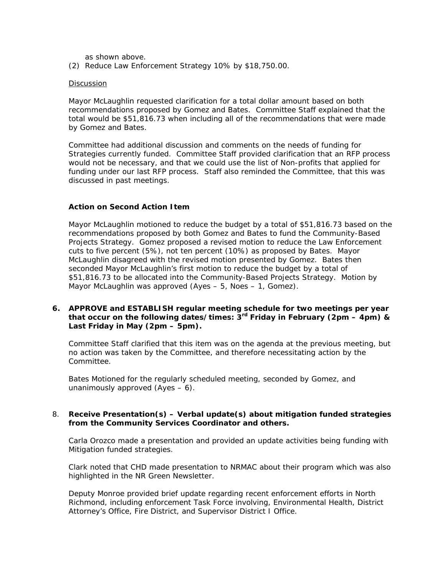as shown above.

(2) Reduce Law Enforcement Strategy 10% by \$18,750.00.

#### Discussion

Mayor McLaughlin requested clarification for a total dollar amount based on both recommendations proposed by Gomez and Bates. Committee Staff explained that the total would be \$51,816.73 when including all of the recommendations that were made by Gomez and Bates.

Committee had additional discussion and comments on the needs of funding for Strategies currently funded. Committee Staff provided clarification that an RFP process would not be necessary, and that we could use the list of Non-profits that applied for funding under our last RFP process. Staff also reminded the Committee, that this was discussed in past meetings.

## *Action on Second Action Item*

Mayor McLaughlin *motioned* to reduce the budget by a total of \$51,816.73 based on the recommendations proposed by both Gomez and Bates to fund the Community-Based Projects Strategy. Gomez proposed a *revised motion* to reduce the Law Enforcement cuts to five percent (5%), not ten percent (10%) as proposed by Bates. Mayor McLaughlin disagreed with the revised motion presented by Gomez. *Bates then seconded Mayor McLaughlin's first motion* to reduce the budget by a total of \$51,816.73 to be allocated into the Community-Based Projects Strategy. Motion by Mayor McLaughlin was approved *(Ayes – 5, Noes – 1, Gomez).*

# **6. APPROVE and ESTABLISH regular meeting schedule for two meetings per year that occur on the following dates/times: 3rd Friday in February (2pm – 4pm) & Last Friday in May (2pm – 5pm).**

Committee Staff clarified that this item was on the agenda at the previous meeting, but no action was taken by the Committee, and therefore necessitating action by the Committee.

Bates Motioned for the regularly scheduled meeting, seconded by Gomez, and unanimously approved (Ayes – 6).

## 8. **Receive Presentation(s) – Verbal update(s) about mitigation funded strategies from the Community Services Coordinator and others.**

Carla Orozco made a presentation and provided an update activities being funding with Mitigation funded strategies.

Clark noted that CHD made presentation to NRMAC about their program which was also highlighted in the NR Green Newsletter.

Deputy Monroe provided brief update regarding recent enforcement efforts in North Richmond, including enforcement Task Force involving, Environmental Health, District Attorney's Office, Fire District, and Supervisor District I Office.